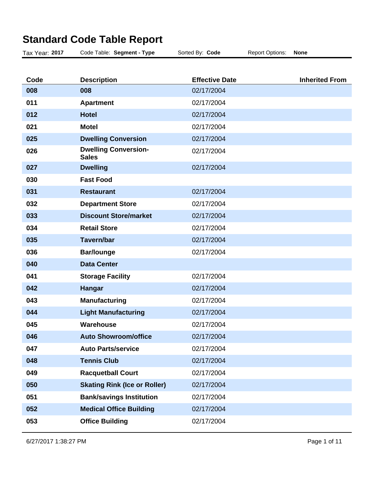| <b>Inherited From</b> |
|-----------------------|
|                       |
|                       |
|                       |
|                       |
|                       |
|                       |
|                       |
|                       |
|                       |
|                       |
|                       |
|                       |
|                       |
|                       |
|                       |
|                       |
|                       |
|                       |
|                       |
|                       |
|                       |
|                       |
|                       |
|                       |
|                       |
|                       |
|                       |
|                       |
|                       |

## **Standard Code Table Report**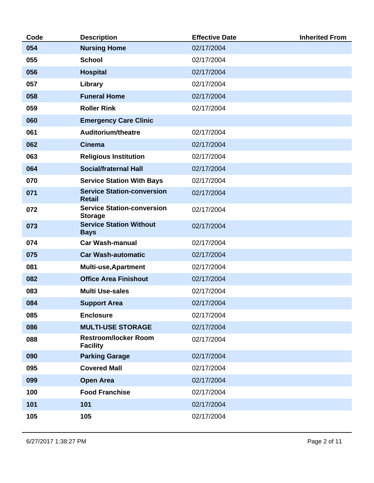| Code | <b>Description</b>                                  | <b>Effective Date</b> | <b>Inherited From</b> |
|------|-----------------------------------------------------|-----------------------|-----------------------|
| 054  | <b>Nursing Home</b>                                 | 02/17/2004            |                       |
| 055  | <b>School</b>                                       | 02/17/2004            |                       |
| 056  | <b>Hospital</b>                                     | 02/17/2004            |                       |
| 057  | Library                                             | 02/17/2004            |                       |
| 058  | <b>Funeral Home</b>                                 | 02/17/2004            |                       |
| 059  | <b>Roller Rink</b>                                  | 02/17/2004            |                       |
| 060  | <b>Emergency Care Clinic</b>                        |                       |                       |
| 061  | Auditorium/theatre                                  | 02/17/2004            |                       |
| 062  | <b>Cinema</b>                                       | 02/17/2004            |                       |
| 063  | <b>Religious Institution</b>                        | 02/17/2004            |                       |
| 064  | <b>Social/fraternal Hall</b>                        | 02/17/2004            |                       |
| 070  | <b>Service Station With Bays</b>                    | 02/17/2004            |                       |
| 071  | <b>Service Station-conversion</b><br><b>Retail</b>  | 02/17/2004            |                       |
| 072  | <b>Service Station-conversion</b><br><b>Storage</b> | 02/17/2004            |                       |
| 073  | <b>Service Station Without</b><br><b>Bays</b>       | 02/17/2004            |                       |
| 074  | <b>Car Wash-manual</b>                              | 02/17/2004            |                       |
| 075  | <b>Car Wash-automatic</b>                           | 02/17/2004            |                       |
| 081  | <b>Multi-use, Apartment</b>                         | 02/17/2004            |                       |
| 082  | <b>Office Area Finishout</b>                        | 02/17/2004            |                       |
| 083  | <b>Multi Use-sales</b>                              | 02/17/2004            |                       |
| 084  | <b>Support Area</b>                                 | 02/17/2004            |                       |
| 085  | <b>Enclosure</b>                                    | 02/17/2004            |                       |
| 086  | <b>MULTI-USE STORAGE</b>                            | 02/17/2004            |                       |
| 088  | <b>Restroom/locker Room</b><br><b>Facility</b>      | 02/17/2004            |                       |
| 090  | <b>Parking Garage</b>                               | 02/17/2004            |                       |
| 095  | <b>Covered Mall</b>                                 | 02/17/2004            |                       |
| 099  | <b>Open Area</b>                                    | 02/17/2004            |                       |
| 100  | <b>Food Franchise</b>                               | 02/17/2004            |                       |
| 101  | 101                                                 | 02/17/2004            |                       |
| 105  | 105                                                 | 02/17/2004            |                       |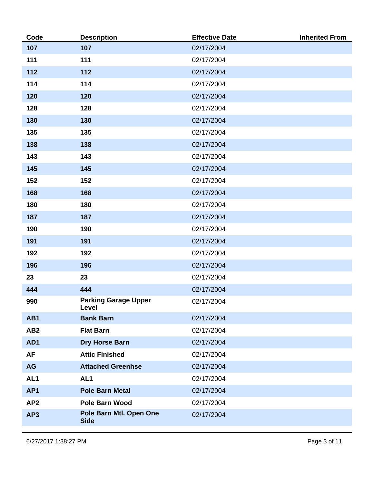| Code            | <b>Description</b>                     | <b>Effective Date</b> | <b>Inherited From</b> |
|-----------------|----------------------------------------|-----------------------|-----------------------|
| 107             | 107                                    | 02/17/2004            |                       |
| 111             | 111                                    | 02/17/2004            |                       |
| 112             | 112                                    | 02/17/2004            |                       |
| 114             | 114                                    | 02/17/2004            |                       |
| 120             | 120                                    | 02/17/2004            |                       |
| 128             | 128                                    | 02/17/2004            |                       |
| 130             | 130                                    | 02/17/2004            |                       |
| 135             | 135                                    | 02/17/2004            |                       |
| 138             | 138                                    | 02/17/2004            |                       |
| 143             | 143                                    | 02/17/2004            |                       |
| 145             | 145                                    | 02/17/2004            |                       |
| 152             | 152                                    | 02/17/2004            |                       |
| 168             | 168                                    | 02/17/2004            |                       |
| 180             | 180                                    | 02/17/2004            |                       |
| 187             | 187                                    | 02/17/2004            |                       |
| 190             | 190                                    | 02/17/2004            |                       |
| 191             | 191                                    | 02/17/2004            |                       |
| 192             | 192                                    | 02/17/2004            |                       |
| 196             | 196                                    | 02/17/2004            |                       |
| 23              | 23                                     | 02/17/2004            |                       |
| 444             | 444                                    | 02/17/2004            |                       |
| 990             | <b>Parking Garage Upper</b><br>Level   | 02/17/2004            |                       |
| AB1             | <b>Bank Barn</b>                       | 02/17/2004            |                       |
| AB <sub>2</sub> | <b>Flat Barn</b>                       | 02/17/2004            |                       |
| AD1             | <b>Dry Horse Barn</b>                  | 02/17/2004            |                       |
| <b>AF</b>       | <b>Attic Finished</b>                  | 02/17/2004            |                       |
| <b>AG</b>       | <b>Attached Greenhse</b>               | 02/17/2004            |                       |
| AL <sub>1</sub> | AL <sub>1</sub>                        | 02/17/2004            |                       |
| AP <sub>1</sub> | <b>Pole Barn Metal</b>                 | 02/17/2004            |                       |
| AP <sub>2</sub> | <b>Pole Barn Wood</b>                  | 02/17/2004            |                       |
| AP3             | Pole Barn Mtl. Open One<br><b>Side</b> | 02/17/2004            |                       |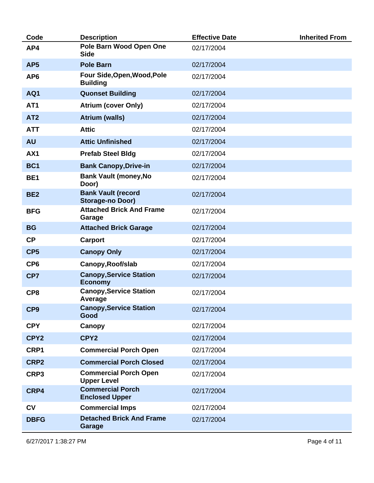| Code            | <b>Description</b>                                 | <b>Effective Date</b> | <b>Inherited From</b> |
|-----------------|----------------------------------------------------|-----------------------|-----------------------|
| AP4             | Pole Barn Wood Open One<br><b>Side</b>             | 02/17/2004            |                       |
| AP <sub>5</sub> | <b>Pole Barn</b>                                   | 02/17/2004            |                       |
| AP <sub>6</sub> | Four Side, Open, Wood, Pole<br><b>Building</b>     | 02/17/2004            |                       |
| AQ1             | <b>Quonset Building</b>                            | 02/17/2004            |                       |
| AT <sub>1</sub> | <b>Atrium (cover Only)</b>                         | 02/17/2004            |                       |
| AT <sub>2</sub> | <b>Atrium (walls)</b>                              | 02/17/2004            |                       |
| <b>ATT</b>      | <b>Attic</b>                                       | 02/17/2004            |                       |
| <b>AU</b>       | <b>Attic Unfinished</b>                            | 02/17/2004            |                       |
| AX1             | <b>Prefab Steel Bldg</b>                           | 02/17/2004            |                       |
| BC <sub>1</sub> | <b>Bank Canopy, Drive-in</b>                       | 02/17/2004            |                       |
| BE <sub>1</sub> | <b>Bank Vault (money, No</b><br>Door)              | 02/17/2004            |                       |
| BE <sub>2</sub> | <b>Bank Vault (record</b><br>Storage-no Door)      | 02/17/2004            |                       |
| <b>BFG</b>      | <b>Attached Brick And Frame</b><br>Garage          | 02/17/2004            |                       |
| <b>BG</b>       | <b>Attached Brick Garage</b>                       | 02/17/2004            |                       |
| CP              | Carport                                            | 02/17/2004            |                       |
| CP <sub>5</sub> | <b>Canopy Only</b>                                 | 02/17/2004            |                       |
| CP <sub>6</sub> | Canopy, Roof/slab                                  | 02/17/2004            |                       |
| CP7             | <b>Canopy, Service Station</b><br><b>Economy</b>   | 02/17/2004            |                       |
| CP8             | <b>Canopy, Service Station</b><br>Average          | 02/17/2004            |                       |
| CP <sub>9</sub> | <b>Canopy, Service Station</b><br>Good             | 02/17/2004            |                       |
| <b>CPY</b>      | Canopy                                             | 02/17/2004            |                       |
| CPY2            | CPY2                                               | 02/17/2004            |                       |
| CRP1            | <b>Commercial Porch Open</b>                       | 02/17/2004            |                       |
| CRP2            | <b>Commercial Porch Closed</b>                     | 02/17/2004            |                       |
| CRP3            | <b>Commercial Porch Open</b><br><b>Upper Level</b> | 02/17/2004            |                       |
| CRP4            | <b>Commercial Porch</b><br><b>Enclosed Upper</b>   | 02/17/2004            |                       |
| CV              | <b>Commercial Imps</b>                             | 02/17/2004            |                       |
| <b>DBFG</b>     | <b>Detached Brick And Frame</b><br>Garage          | 02/17/2004            |                       |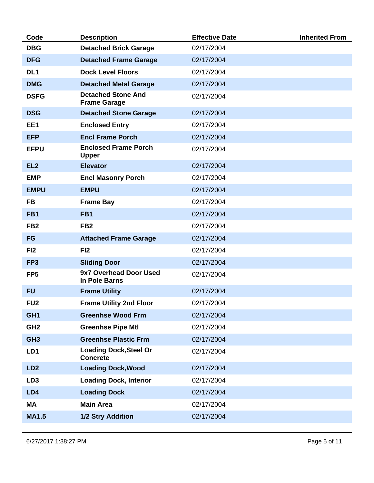| Code            | <b>Description</b>                               | <b>Effective Date</b> | <b>Inherited From</b> |
|-----------------|--------------------------------------------------|-----------------------|-----------------------|
| <b>DBG</b>      | <b>Detached Brick Garage</b>                     | 02/17/2004            |                       |
| <b>DFG</b>      | <b>Detached Frame Garage</b>                     | 02/17/2004            |                       |
| DL <sub>1</sub> | <b>Dock Level Floors</b>                         | 02/17/2004            |                       |
| <b>DMG</b>      | <b>Detached Metal Garage</b>                     | 02/17/2004            |                       |
| <b>DSFG</b>     | <b>Detached Stone And</b><br><b>Frame Garage</b> | 02/17/2004            |                       |
| <b>DSG</b>      | <b>Detached Stone Garage</b>                     | 02/17/2004            |                       |
| EE1             | <b>Enclosed Entry</b>                            | 02/17/2004            |                       |
| <b>EFP</b>      | <b>Encl Frame Porch</b>                          | 02/17/2004            |                       |
| <b>EFPU</b>     | <b>Enclosed Frame Porch</b><br><b>Upper</b>      | 02/17/2004            |                       |
| EL <sub>2</sub> | <b>Elevator</b>                                  | 02/17/2004            |                       |
| <b>EMP</b>      | <b>Encl Masonry Porch</b>                        | 02/17/2004            |                       |
| <b>EMPU</b>     | <b>EMPU</b>                                      | 02/17/2004            |                       |
| <b>FB</b>       | <b>Frame Bay</b>                                 | 02/17/2004            |                       |
| FB <sub>1</sub> | FB <sub>1</sub>                                  | 02/17/2004            |                       |
| FB <sub>2</sub> | FB <sub>2</sub>                                  | 02/17/2004            |                       |
| <b>FG</b>       | <b>Attached Frame Garage</b>                     | 02/17/2004            |                       |
| FI <sub>2</sub> | FI <sub>2</sub>                                  | 02/17/2004            |                       |
| FP <sub>3</sub> | <b>Sliding Door</b>                              | 02/17/2004            |                       |
| FP <sub>5</sub> | 9x7 Overhead Door Used<br>In Pole Barns          | 02/17/2004            |                       |
| <b>FU</b>       | <b>Frame Utility</b>                             | 02/17/2004            |                       |
| FU <sub>2</sub> | <b>Frame Utility 2nd Floor</b>                   | 02/17/2004            |                       |
| GH <sub>1</sub> | <b>Greenhse Wood Frm</b>                         | 02/17/2004            |                       |
| GH <sub>2</sub> | <b>Greenhse Pipe Mtl</b>                         | 02/17/2004            |                       |
| GH <sub>3</sub> | <b>Greenhse Plastic Frm</b>                      | 02/17/2004            |                       |
| LD1             | <b>Loading Dock, Steel Or</b><br><b>Concrete</b> | 02/17/2004            |                       |
| LD <sub>2</sub> | <b>Loading Dock, Wood</b>                        | 02/17/2004            |                       |
| LD <sub>3</sub> | <b>Loading Dock, Interior</b>                    | 02/17/2004            |                       |
| LD4             | <b>Loading Dock</b>                              | 02/17/2004            |                       |
| MA              | <b>Main Area</b>                                 | 02/17/2004            |                       |
| <b>MA1.5</b>    | 1/2 Stry Addition                                | 02/17/2004            |                       |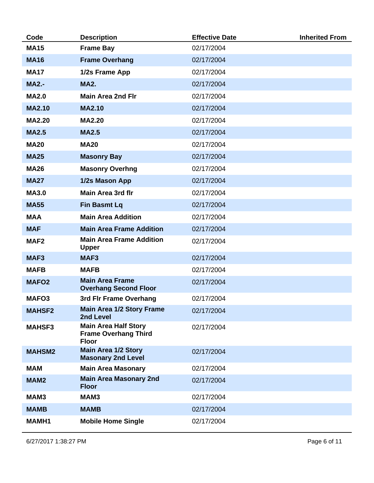| Code              | <b>Description</b>                                                         | <b>Effective Date</b> | <b>Inherited From</b> |
|-------------------|----------------------------------------------------------------------------|-----------------------|-----------------------|
| <b>MA15</b>       | <b>Frame Bay</b>                                                           | 02/17/2004            |                       |
| <b>MA16</b>       | <b>Frame Overhang</b>                                                      | 02/17/2004            |                       |
| <b>MA17</b>       | 1/2s Frame App                                                             | 02/17/2004            |                       |
| <b>MA2.-</b>      | <b>MA2.</b>                                                                | 02/17/2004            |                       |
| <b>MA2.0</b>      | <b>Main Area 2nd Fir</b>                                                   | 02/17/2004            |                       |
| <b>MA2.10</b>     | <b>MA2.10</b>                                                              | 02/17/2004            |                       |
| <b>MA2.20</b>     | <b>MA2.20</b>                                                              | 02/17/2004            |                       |
| <b>MA2.5</b>      | <b>MA2.5</b>                                                               | 02/17/2004            |                       |
| <b>MA20</b>       | <b>MA20</b>                                                                | 02/17/2004            |                       |
| <b>MA25</b>       | <b>Masonry Bay</b>                                                         | 02/17/2004            |                       |
| <b>MA26</b>       | <b>Masonry Overhng</b>                                                     | 02/17/2004            |                       |
| <b>MA27</b>       | 1/2s Mason App                                                             | 02/17/2004            |                       |
| <b>MA3.0</b>      | <b>Main Area 3rd flr</b>                                                   | 02/17/2004            |                       |
| <b>MA55</b>       | <b>Fin Basmt Lq</b>                                                        | 02/17/2004            |                       |
| <b>MAA</b>        | <b>Main Area Addition</b>                                                  | 02/17/2004            |                       |
| <b>MAF</b>        | <b>Main Area Frame Addition</b>                                            | 02/17/2004            |                       |
| MAF <sub>2</sub>  | <b>Main Area Frame Addition</b><br><b>Upper</b>                            | 02/17/2004            |                       |
| MAF <sub>3</sub>  | MAF <sub>3</sub>                                                           | 02/17/2004            |                       |
| <b>MAFB</b>       | <b>MAFB</b>                                                                | 02/17/2004            |                       |
| <b>MAFO2</b>      | <b>Main Area Frame</b><br><b>Overhang Second Floor</b>                     | 02/17/2004            |                       |
| MAFO <sub>3</sub> | 3rd Fir Frame Overhang                                                     | 02/17/2004            |                       |
| <b>MAHSF2</b>     | <b>Main Area 1/2 Story Frame</b><br>2nd Level                              | 02/17/2004            |                       |
| <b>MAHSF3</b>     | <b>Main Area Half Story</b><br><b>Frame Overhang Third</b><br><b>Floor</b> | 02/17/2004            |                       |
| <b>MAHSM2</b>     | <b>Main Area 1/2 Story</b><br><b>Masonary 2nd Level</b>                    | 02/17/2004            |                       |
| <b>MAM</b>        | <b>Main Area Masonary</b>                                                  | 02/17/2004            |                       |
| MAM <sub>2</sub>  | <b>Main Area Masonary 2nd</b><br><b>Floor</b>                              | 02/17/2004            |                       |
| MAM3              | MAM3                                                                       | 02/17/2004            |                       |
| <b>MAMB</b>       | <b>MAMB</b>                                                                | 02/17/2004            |                       |
| <b>MAMH1</b>      | <b>Mobile Home Single</b>                                                  | 02/17/2004            |                       |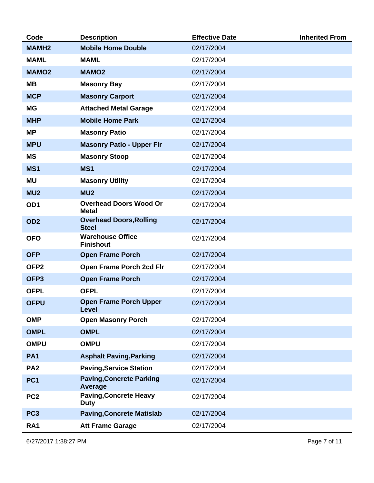| Code             | <b>Description</b>                             | <b>Effective Date</b> | <b>Inherited From</b> |
|------------------|------------------------------------------------|-----------------------|-----------------------|
| <b>MAMH2</b>     | <b>Mobile Home Double</b>                      | 02/17/2004            |                       |
| <b>MAML</b>      | <b>MAML</b>                                    | 02/17/2004            |                       |
| <b>MAMO2</b>     | <b>MAMO2</b>                                   | 02/17/2004            |                       |
| MВ               | <b>Masonry Bay</b>                             | 02/17/2004            |                       |
| <b>MCP</b>       | <b>Masonry Carport</b>                         | 02/17/2004            |                       |
| <b>MG</b>        | <b>Attached Metal Garage</b>                   | 02/17/2004            |                       |
| <b>MHP</b>       | <b>Mobile Home Park</b>                        | 02/17/2004            |                       |
| <b>MP</b>        | <b>Masonry Patio</b>                           | 02/17/2004            |                       |
| <b>MPU</b>       | <b>Masonry Patio - Upper Flr</b>               | 02/17/2004            |                       |
| <b>MS</b>        | <b>Masonry Stoop</b>                           | 02/17/2004            |                       |
| MS1              | MS1                                            | 02/17/2004            |                       |
| <b>MU</b>        | <b>Masonry Utility</b>                         | 02/17/2004            |                       |
| MU <sub>2</sub>  | MU <sub>2</sub>                                | 02/17/2004            |                       |
| OD <sub>1</sub>  | <b>Overhead Doors Wood Or</b><br><b>Metal</b>  | 02/17/2004            |                       |
| OD <sub>2</sub>  | <b>Overhead Doors, Rolling</b><br><b>Steel</b> | 02/17/2004            |                       |
| <b>OFO</b>       | <b>Warehouse Office</b><br><b>Finishout</b>    | 02/17/2004            |                       |
| <b>OFP</b>       | <b>Open Frame Porch</b>                        | 02/17/2004            |                       |
| OFP <sub>2</sub> | Open Frame Porch 2cd Fir                       | 02/17/2004            |                       |
| OFP <sub>3</sub> | <b>Open Frame Porch</b>                        | 02/17/2004            |                       |
| <b>OFPL</b>      | <b>OFPL</b>                                    | 02/17/2004            |                       |
| <b>OFPU</b>      | <b>Open Frame Porch Upper</b><br><b>Level</b>  | 02/17/2004            |                       |
| <b>OMP</b>       | <b>Open Masonry Porch</b>                      | 02/17/2004            |                       |
| <b>OMPL</b>      | <b>OMPL</b>                                    | 02/17/2004            |                       |
| <b>OMPU</b>      | <b>OMPU</b>                                    | 02/17/2004            |                       |
| PA <sub>1</sub>  | <b>Asphalt Paving, Parking</b>                 | 02/17/2004            |                       |
| PA <sub>2</sub>  | <b>Paving, Service Station</b>                 | 02/17/2004            |                       |
| PC <sub>1</sub>  | <b>Paving, Concrete Parking</b><br>Average     | 02/17/2004            |                       |
| PC <sub>2</sub>  | <b>Paving, Concrete Heavy</b><br><b>Duty</b>   | 02/17/2004            |                       |
| PC <sub>3</sub>  | <b>Paving, Concrete Mat/slab</b>               | 02/17/2004            |                       |
| <b>RA1</b>       | <b>Att Frame Garage</b>                        | 02/17/2004            |                       |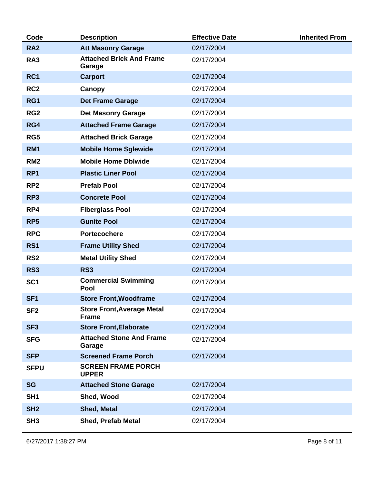| Code            | <b>Description</b>                                | <b>Effective Date</b> | <b>Inherited From</b> |
|-----------------|---------------------------------------------------|-----------------------|-----------------------|
| <b>RA2</b>      | <b>Att Masonry Garage</b>                         | 02/17/2004            |                       |
| RA3             | <b>Attached Brick And Frame</b><br>Garage         | 02/17/2004            |                       |
| RC1             | <b>Carport</b>                                    | 02/17/2004            |                       |
| RC <sub>2</sub> | Canopy                                            | 02/17/2004            |                       |
| RG1             | <b>Det Frame Garage</b>                           | 02/17/2004            |                       |
| RG <sub>2</sub> | <b>Det Masonry Garage</b>                         | 02/17/2004            |                       |
| RG4             | <b>Attached Frame Garage</b>                      | 02/17/2004            |                       |
| RG5             | <b>Attached Brick Garage</b>                      | 02/17/2004            |                       |
| <b>RM1</b>      | <b>Mobile Home Sglewide</b>                       | 02/17/2004            |                       |
| RM <sub>2</sub> | <b>Mobile Home Dblwide</b>                        | 02/17/2004            |                       |
| RP <sub>1</sub> | <b>Plastic Liner Pool</b>                         | 02/17/2004            |                       |
| RP <sub>2</sub> | <b>Prefab Pool</b>                                | 02/17/2004            |                       |
| RP3             | <b>Concrete Pool</b>                              | 02/17/2004            |                       |
| RP4             | <b>Fiberglass Pool</b>                            | 02/17/2004            |                       |
| RP <sub>5</sub> | <b>Gunite Pool</b>                                | 02/17/2004            |                       |
| <b>RPC</b>      | <b>Portecochere</b>                               | 02/17/2004            |                       |
| <b>RS1</b>      | <b>Frame Utility Shed</b>                         | 02/17/2004            |                       |
| RS <sub>2</sub> | <b>Metal Utility Shed</b>                         | 02/17/2004            |                       |
| <b>RS3</b>      | <b>RS3</b>                                        | 02/17/2004            |                       |
| SC <sub>1</sub> | <b>Commercial Swimming</b><br>Pool                | 02/17/2004            |                       |
| SF <sub>1</sub> | <b>Store Front, Woodframe</b>                     | 02/17/2004            |                       |
| SF <sub>2</sub> | <b>Store Front, Average Metal</b><br><b>Frame</b> | 02/17/2004            |                       |
| SF <sub>3</sub> | <b>Store Front, Elaborate</b>                     | 02/17/2004            |                       |
| <b>SFG</b>      | <b>Attached Stone And Frame</b><br>Garage         | 02/17/2004            |                       |
| <b>SFP</b>      | <b>Screened Frame Porch</b>                       | 02/17/2004            |                       |
| <b>SFPU</b>     | <b>SCREEN FRAME PORCH</b><br><b>UPPER</b>         |                       |                       |
| <b>SG</b>       | <b>Attached Stone Garage</b>                      | 02/17/2004            |                       |
| SH <sub>1</sub> | Shed, Wood                                        | 02/17/2004            |                       |
| SH <sub>2</sub> | <b>Shed, Metal</b>                                | 02/17/2004            |                       |
| SH <sub>3</sub> | <b>Shed, Prefab Metal</b>                         | 02/17/2004            |                       |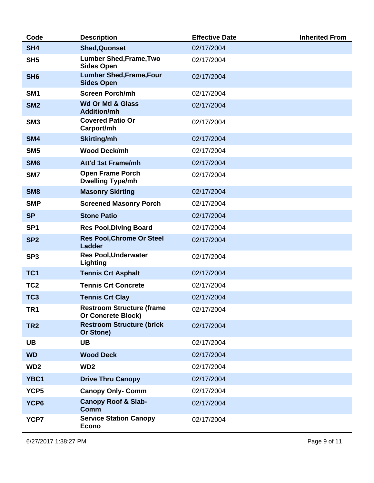| Code            | <b>Description</b>                                            | <b>Effective Date</b> | <b>Inherited From</b> |
|-----------------|---------------------------------------------------------------|-----------------------|-----------------------|
| SH4             | <b>Shed, Quonset</b>                                          | 02/17/2004            |                       |
| SH <sub>5</sub> | <b>Lumber Shed, Frame, Two</b><br><b>Sides Open</b>           | 02/17/2004            |                       |
| SH <sub>6</sub> | <b>Lumber Shed, Frame, Four</b><br><b>Sides Open</b>          | 02/17/2004            |                       |
| SM <sub>1</sub> | <b>Screen Porch/mh</b>                                        | 02/17/2004            |                       |
| SM <sub>2</sub> | <b>Wd Or Mtl &amp; Glass</b><br><b>Addition/mh</b>            | 02/17/2004            |                       |
| SM <sub>3</sub> | <b>Covered Patio Or</b><br>Carport/mh                         | 02/17/2004            |                       |
| SM4             | <b>Skirting/mh</b>                                            | 02/17/2004            |                       |
| SM <sub>5</sub> | <b>Wood Deck/mh</b>                                           | 02/17/2004            |                       |
| SM <sub>6</sub> | Att'd 1st Frame/mh                                            | 02/17/2004            |                       |
| SM7             | <b>Open Frame Porch</b><br><b>Dwelling Type/mh</b>            | 02/17/2004            |                       |
| SM <sub>8</sub> | <b>Masonry Skirting</b>                                       | 02/17/2004            |                       |
| <b>SMP</b>      | <b>Screened Masonry Porch</b>                                 | 02/17/2004            |                       |
| <b>SP</b>       | <b>Stone Patio</b>                                            | 02/17/2004            |                       |
| SP <sub>1</sub> | <b>Res Pool, Diving Board</b>                                 | 02/17/2004            |                       |
| SP <sub>2</sub> | <b>Res Pool, Chrome Or Steel</b><br><b>Ladder</b>             | 02/17/2004            |                       |
| SP <sub>3</sub> | <b>Res Pool, Underwater</b><br><b>Lighting</b>                | 02/17/2004            |                       |
| TC <sub>1</sub> | <b>Tennis Crt Asphalt</b>                                     | 02/17/2004            |                       |
| TC <sub>2</sub> | <b>Tennis Crt Concrete</b>                                    | 02/17/2004            |                       |
| TC <sub>3</sub> | <b>Tennis Crt Clay</b>                                        | 02/17/2004            |                       |
| TR <sub>1</sub> | <b>Restroom Structure (frame</b><br><b>Or Concrete Block)</b> | 02/17/2004            |                       |
| TR <sub>2</sub> | <b>Restroom Structure (brick</b><br>Or Stone)                 | 02/17/2004            |                       |
| <b>UB</b>       | <b>UB</b>                                                     | 02/17/2004            |                       |
| <b>WD</b>       | <b>Wood Deck</b>                                              | 02/17/2004            |                       |
| WD <sub>2</sub> | WD <sub>2</sub>                                               | 02/17/2004            |                       |
| YBC1            | <b>Drive Thru Canopy</b>                                      | 02/17/2004            |                       |
| YCP5            | <b>Canopy Only- Comm</b>                                      | 02/17/2004            |                       |
| YCP6            | <b>Canopy Roof &amp; Slab-</b><br>Comm                        | 02/17/2004            |                       |
| YCP7            | <b>Service Station Canopy</b><br><b>Econo</b>                 | 02/17/2004            |                       |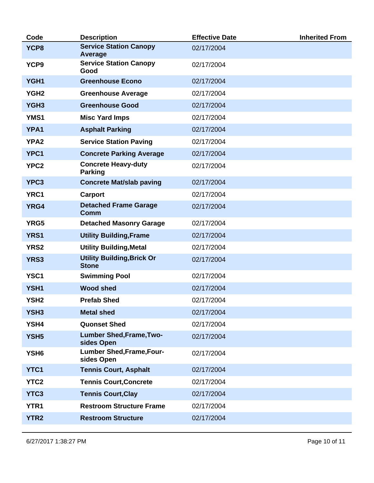| Code             | <b>Description</b>                                | <b>Effective Date</b> | <b>Inherited From</b> |
|------------------|---------------------------------------------------|-----------------------|-----------------------|
| YCP8             | <b>Service Station Canopy</b><br>Average          | 02/17/2004            |                       |
| YCP9             | <b>Service Station Canopy</b><br>Good             | 02/17/2004            |                       |
| YGH1             | <b>Greenhouse Econo</b>                           | 02/17/2004            |                       |
| YGH <sub>2</sub> | <b>Greenhouse Average</b>                         | 02/17/2004            |                       |
| YGH <sub>3</sub> | <b>Greenhouse Good</b>                            | 02/17/2004            |                       |
| YMS1             | <b>Misc Yard Imps</b>                             | 02/17/2004            |                       |
| <b>YPA1</b>      | <b>Asphalt Parking</b>                            | 02/17/2004            |                       |
| <b>YPA2</b>      | <b>Service Station Paving</b>                     | 02/17/2004            |                       |
| YPC1             | <b>Concrete Parking Average</b>                   | 02/17/2004            |                       |
| YPC <sub>2</sub> | <b>Concrete Heavy-duty</b><br><b>Parking</b>      | 02/17/2004            |                       |
| YPC3             | <b>Concrete Mat/slab paving</b>                   | 02/17/2004            |                       |
| <b>YRC1</b>      | <b>Carport</b>                                    | 02/17/2004            |                       |
| <b>YRG4</b>      | <b>Detached Frame Garage</b><br><b>Comm</b>       | 02/17/2004            |                       |
| YRG5             | <b>Detached Masonry Garage</b>                    | 02/17/2004            |                       |
| <b>YRS1</b>      | <b>Utility Building, Frame</b>                    | 02/17/2004            |                       |
| <b>YRS2</b>      | <b>Utility Building, Metal</b>                    | 02/17/2004            |                       |
| <b>YRS3</b>      | <b>Utility Building, Brick Or</b><br><b>Stone</b> | 02/17/2004            |                       |
| YSC <sub>1</sub> | <b>Swimming Pool</b>                              | 02/17/2004            |                       |
| YSH1             | <b>Wood shed</b>                                  | 02/17/2004            |                       |
| YSH <sub>2</sub> | <b>Prefab Shed</b>                                | 02/17/2004            |                       |
| YSH <sub>3</sub> | <b>Metal shed</b>                                 | 02/17/2004            |                       |
| YSH4             | <b>Quonset Shed</b>                               | 02/17/2004            |                       |
| YSH <sub>5</sub> | <b>Lumber Shed, Frame, Two-</b><br>sides Open     | 02/17/2004            |                       |
| YSH <sub>6</sub> | <b>Lumber Shed, Frame, Four-</b><br>sides Open    | 02/17/2004            |                       |
| <b>YTC1</b>      | <b>Tennis Court, Asphalt</b>                      | 02/17/2004            |                       |
| <b>YTC2</b>      | <b>Tennis Court, Concrete</b>                     | 02/17/2004            |                       |
| YTC3             | <b>Tennis Court, Clay</b>                         | 02/17/2004            |                       |
| <b>YTR1</b>      | <b>Restroom Structure Frame</b>                   | 02/17/2004            |                       |
| <b>YTR2</b>      | <b>Restroom Structure</b>                         | 02/17/2004            |                       |